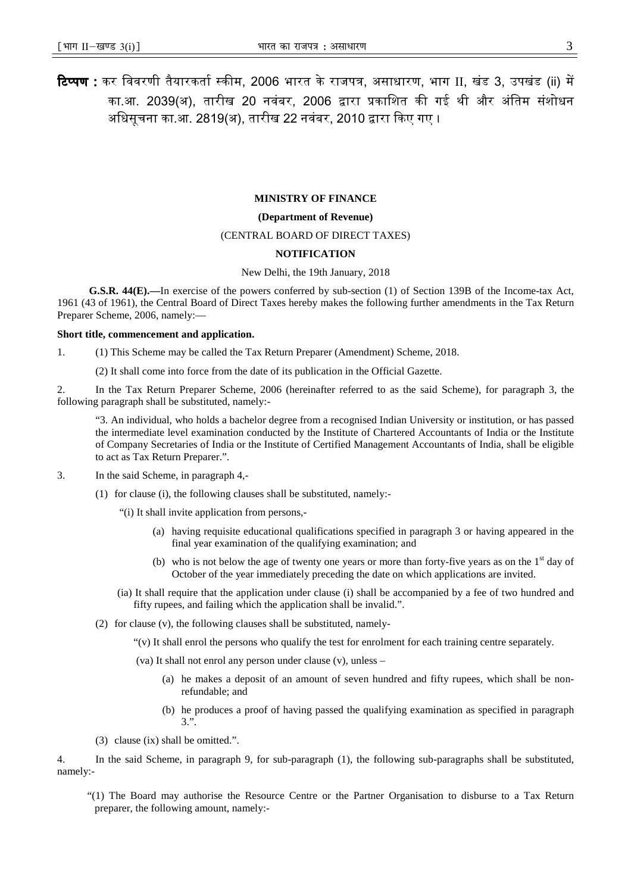## **MINISTRY OF FINANCE**

## **(Department of Revenue)**

# (CENTRAL BOARD OF DIRECT TAXES)

#### **NOTIFICATION**

New Delhi, the 19th January, 2018

**G.S.R. 44(E).—**In exercise of the powers conferred by sub-section (1) of Section 139B of the Income-tax Act, 1961 (43 of 1961), the Central Board of Direct Taxes hereby makes the following further amendments in the Tax Return Preparer Scheme, 2006, namely:—

## **Short title, commencement and application.**

1. (1) This Scheme may be called the Tax Return Preparer (Amendment) Scheme, 2018.

(2) It shall come into force from the date of its publication in the Official Gazette.

2. In the Tax Return Preparer Scheme, 2006 (hereinafter referred to as the said Scheme), for paragraph 3, the following paragraph shall be substituted, namely:-

"3. An individual, who holds a bachelor degree from a recognised Indian University or institution, or has passed the intermediate level examination conducted by the Institute of Chartered Accountants of India or the Institute of Company Secretaries of India or the Institute of Certified Management Accountants of India, shall be eligible to act as Tax Return Preparer.".

- 3. In the said Scheme, in paragraph 4,-
	- (1) for clause (i), the following clauses shall be substituted, namely:-

"(i) It shall invite application from persons,-

- (a) having requisite educational qualifications specified in paragraph 3 or having appeared in the final year examination of the qualifying examination; and
- (b) who is not below the age of twenty one years or more than forty-five years as on the  $1<sup>st</sup>$  day of October of the year immediately preceding the date on which applications are invited.
- (ia) It shall require that the application under clause (i) shall be accompanied by a fee of two hundred and fifty rupees, and failing which the application shall be invalid.".
- (2) for clause (v), the following clauses shall be substituted, namely-

"(v) It shall enrol the persons who qualify the test for enrolment for each training centre separately.

- (va) It shall not enrol any person under clause (v), unless
	- (a) he makes a deposit of an amount of seven hundred and fifty rupees, which shall be nonrefundable; and
	- (b) he produces a proof of having passed the qualifying examination as specified in paragraph 3.".
- (3) clause (ix) shall be omitted.".

4. In the said Scheme, in paragraph 9, for sub-paragraph (1), the following sub-paragraphs shall be substituted, namely:-

"(1) The Board may authorise the Resource Centre or the Partner Organisation to disburse to a Tax Return preparer, the following amount, namely:-